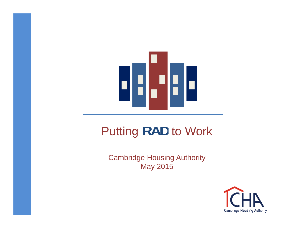

### Putting RAD to Work

**Cambridge Housing Authority** May 2015

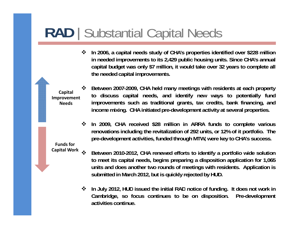### **RAD** | Substantial Capital Needs

 $\frac{1}{2}$ In 2006, a capital needs study of CHA's properties identified over \$228 million in needed improvements to its 2,429 public housing units. Since CHA's annual capital budget was only \$7 million, it would take over 32 years to complete all **the needed capital improvements.**

**Improvement Needs**

- $\mathbf{v}$  **Between 2007-2009, CHA held many meetings with residents at each property** capital<br>provement to discuss capital needs, and identify new ways to potentially fund<br>Needs improvements such as traditional grants, tax credits, bank financing, and **income mixing. CHA initiated pre-development activity at several properties.**
	- In 2009, CHA received \$28 million in ARRA funds to complete various renovations including the revitalization of 292 units, or 12% of it portfolio. The **pre-development activities, funded through MTW, were key to CHA's success.**

**Funds for Capital Work**

- ❖ **Between 2010-2012, CHA renewed efforts to identify <sup>a</sup> portfolio wide solution** to meet its capital needs, begins preparing a disposition application for 1,065 units and does another two rounds of meetings with residents. Application is **submitted in March 2012, but is quickly rejected by HUD.**
- ❖ In July 2012, HUD issued the initial RAD notice of funding. It does not work in **Cambridge, so focus continues to be on disposition. Pre-development activities continue.**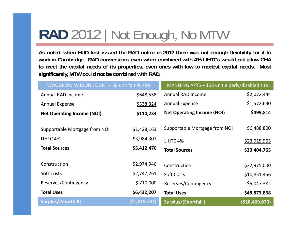# **RAD** 2012 | Not Enough, No MTW

As noted, when HUD first issued the RAD notice in 2012 there was not enough flexibility for it to work in Cambridge. RAD conversions even when combined with 4% LIHTCs would not allow CHA to meet the capital needs of its properties, even ones with low to modest capital needs. Most **significantly, MTW could not be combined with RAD.**

| WOODROW WILSON COURT - 68 unit family site |                | MANNING APTS - 198 unit elderly/disabled site |                     |
|--------------------------------------------|----------------|-----------------------------------------------|---------------------|
| Annual RAD Income                          | \$648,558      | <b>Annual RAD Income</b>                      | \$2,072,444         |
| <b>Annual Expense</b>                      | \$538,324      | <b>Annual Expense</b>                         | \$1,572,630         |
| <b>Net Operating Income (NOI)</b>          | \$110,234      | <b>Net Operating Income (NOI)</b>             | \$499,814           |
|                                            |                |                                               |                     |
| Supportable Mortgage from NOI              | \$1,428,163    | Supportable Mortgage from NOI                 | \$6,488,800         |
| LIHTC 4%                                   | \$3,984,307    | LIHTC <sub>4</sub> %                          | <u>\$23,915,965</u> |
| <b>Total Sources</b>                       | \$5,412,470    | <b>Total Sources</b>                          | \$30,404,765        |
|                                            |                |                                               |                     |
| Construction                               | \$2,974,946    | Construction                                  | \$32,975,000        |
| Soft Costs                                 | \$2,747,261    | <b>Soft Costs</b>                             | \$10,851,456        |
| Reserves/Contingency                       | \$710,000      | Reserves/Contingency                          | \$5,047,382         |
| <b>Total Uses</b>                          | \$6,432,207    | <b>Total Uses</b>                             | \$48,873,838        |
| Surplus/(Shortfall)                        | ( \$1,019,737) | Surplus/(Shortfall)                           | (\$18,469,073)      |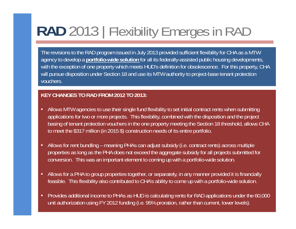# **RAD** 2013 | Flexibility Emerges in RAD

The revisions to the RAD program issued in July 2013 provided sufficient flexibility for CHA as a MTW agency to develop a **portfolio-wide solution** for all its federally-assisted public housing developments, with the exception of one property which meets HUD's definition for obsolescence. For this property, CHA will pursue disposition under Section 18 and use its MTW authority to project-base tenant protection vouchers.

### **KEY CHANGES TO RAD FROM 2012 TO 2013:**

- $\bullet$  Allows MTW agencies to use their single fund flexibility to set initial contract rents when submitting applications for two or more projects. This flexibility, combined with the disposition and the project basing of tenant protection vouchers in the one property meeting the Section 18 threshold, allows CHA to meet the \$317 million (in 2015 \$) construction needs of its entire portfolio.
- • Allows for rent bundling – meaning PHAs can adjust subsidy (i.e. contract rents) across multiple properties as long as the PHA does not exceed the aggregate subsidy for all projects submitted for conversion. This was an important element to coming up with a portfolio-wide solution.
- • Allows for a PHA to group properties together, or separately, in any manner provided it is financially feasible. This flexibility also contributed to CHA's ability to come up with a portfolio-wide solution.
- • Provides additional income to PHAs as HUD is calculating rents for RAD applications under the 60,000 unit authorization using FY 2012 funding (i.e. 95% proration, rather than current, lower levels).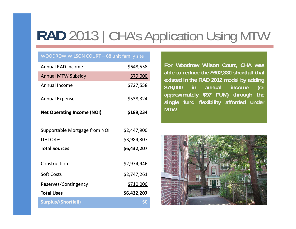# RAD 2013 | CHA's Application Using MTW

#### WOODROW WILSON COURT – 68 unit family site

| <b>Annual RAD Income</b>          | \$648,558   | For Woodrow Wilson Court, CHA was                                                              |
|-----------------------------------|-------------|------------------------------------------------------------------------------------------------|
| <b>Annual MTW Subsidy</b>         | \$79,000    | able to reduce the \$602,330 shortfall that<br>existed in the RAD 2012 model by adding         |
| Annual Income                     | \$727,558   | \$79,000<br>annual<br>income<br>$\mathsf{in}$<br>$($ or<br>approximately \$97 PUM) through the |
| <b>Annual Expense</b>             | \$538,324   | single fund flexibility afforded under                                                         |
| <b>Net Operating Income (NOI)</b> | \$189,234   | MTW.                                                                                           |
| Supportable Mortgage from NOI     | \$2,447,900 |                                                                                                |
| LIHTC 4%                          | \$3,984,307 |                                                                                                |
| <b>Total Sources</b>              | \$6,432,207 |                                                                                                |
| Construction                      | \$2,974,946 |                                                                                                |
| Soft Costs                        | \$2,747,261 |                                                                                                |
| Reserves/Contingency              | \$710,000   |                                                                                                |
| <b>Total Uses</b>                 | \$6,432,207 |                                                                                                |
| <b>Surplus/(Shortfall)</b>        |             |                                                                                                |
|                                   |             |                                                                                                |

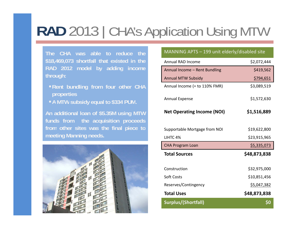# **RAD** 2013 | CHA's Application Using MTW

**The CHA was able to reduce the\$18,469,073 shortfall that existed in the through:**

- **Rent bundling from four other CHA properties**
- 



### MANNING APTS – 199 unit elderly/disabled site

| \$18,469,073 shortfall that existed in the                                     | Annual RAD Income                 | \$2,072,444  |
|--------------------------------------------------------------------------------|-----------------------------------|--------------|
| RAD 2012 model by adding income                                                | Annual Income - Rent Bundling     | \$419,562    |
| through:                                                                       | <b>Annual MTW Subsidy</b>         | \$794,651    |
| Rent bundling from four other CHA<br><b>properties</b>                         | Annual Income (= to 110% FMR)     | \$3,089,519  |
| -A MTW subsidy equal to \$334 PUM.                                             | Annual Expense                    | \$1,572,630  |
| An additional loan of \$5.35M using MTW<br>funds from the acquisition proceeds | <b>Net Operating Income (NOI)</b> | \$1,516,889  |
| from other sites was the final piece to                                        | Supportable Mortgage from NOI     | \$19,622,800 |
| meeting Manning needs.                                                         | LIHTC 4%                          | \$23,915,965 |
|                                                                                | <b>CHA Program Loan</b>           | \$5,335,073  |
|                                                                                | <b>Total Sources</b>              | \$48,873,838 |
|                                                                                | Construction                      | \$32,975,000 |
|                                                                                | <b>Soft Costs</b>                 | \$10,851,456 |
|                                                                                | Reserves/Contingency              | \$5,047,382  |
|                                                                                |                                   |              |
|                                                                                | <b>Total Uses</b>                 | \$48,873,838 |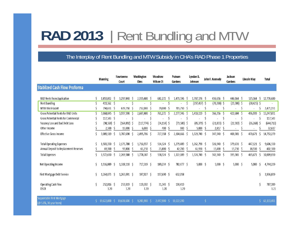## **RAD 2013** | Rent Bundling and MTW

### The Interplay of Rent Bundling and MTW Subsidy in CHA's RAD Phase 1 Properties

|                                                      | <b>Manning</b>     |    | Newtowne<br>Court  |    | Washington<br><b>Elms</b> |     | Woodrow<br><b>Wilson Ct</b> | Putnam<br>Gardens |    | Lyndon B.<br>Johnson         |    | John F. Kennedy | Jackson<br>Gardens |    | Lincoln Way             |             | Total           |
|------------------------------------------------------|--------------------|----|--------------------|----|---------------------------|-----|-----------------------------|-------------------|----|------------------------------|----|-----------------|--------------------|----|-------------------------|-------------|-----------------|
| <b>Stablized Cash Flow Proforma</b>                  |                    |    |                    |    |                           |     |                             |                   |    |                              |    |                 |                    |    |                         |             |                 |
| <b>RAD Rents from Application</b>                    | 1,853,832 \$       |    | 3,297,840          | Ŝ  | 2,355,480 \$              |     | 682,272<br>Ŝ                | 1,471,596 \$      |    | 1,707,576 \$                 |    | 436,656 \$      | 446,064 \$         |    | $\mathsf{S}$<br>525,364 |             | 12,776,680      |
| <b>Rent Bundling</b>                                 | 419,562 \$         |    |                    |    |                           | S   | ×                           |                   | S  | $(297, 457)$ \$              |    | $(70, 300)$ \$  | $(23,380)$ \$      |    | $(28, 425)$ \$          |             |                 |
| <b>MTW Block Grant</b>                               | 794,651 \$         |    | 639,750            |    | 252,000                   | S   | 79,000                      | 705,750           | -S |                              | Ş  |                 |                    |    |                         | S           | 2,471,151       |
| <b>Gross Potential Rents for RAD Units</b>           | 3,068,045          |    | 3,937,590          | -S | 2,607,480                 | -S  | 761,272<br>S                | 2,177,346         | S  | 1,410,119                    |    | 366,356         | 422,684            |    | 496,939                 | S           | 15,247,831      |
| <b>Gross Potential Rents for Commercial</b>          | 117,543 \$         |    |                    |    |                           | \$  | Ŝ                           |                   | \$ | $\qquad \qquad \blacksquare$ | \$ |                 |                    |    | S                       |             | 117,543         |
| Vacancy Loss and Bad Debt Loss                       | $(98, 569)$ \$     |    | $(164, 892)$ \$    |    | $(117,774)$ \$            |     | $(34, 114)$ \$              | $(73,580)$ \$     |    | $(85, 379)$ \$               |    | $(21, 833)$ \$  | $(22,303)$ \$      |    | $(26, 268)$ \$          |             | (644, 712)      |
| Other Income                                         | 2,500              |    | 15,000             |    | 6,000                     | S   | 400                         | 900               |    | $5,000$ \$                   |    | 2,817           |                    |    |                         |             | 32,617          |
| <b>Effective Gross Income</b>                        | 3,089,519          | \$ | 3,787,698          | Ŝ  | 2,495,706 \$              |     | 727,558<br>Ŝ                | 2,104,666         | Ŝ  | 1,329,740 \$                 |    | 347,340 \$      | 400,381 \$         |    | 470,671                 | $\varsigma$ | 14,753,279      |
| <b>Total Operating Expenses</b>                      | 1.503.330          | -Ś | 2,175,788 \$       |    | $1,716,937$ \$            |     | 514,524 \$                  | 1,279,489 \$      |    | $1,262,790$ \$               |    | 326,940 \$      | 379,631 \$         |    | 447,121 \$              |             | 9,606,550       |
| Annual Deposit to Replacement Reserves               | 69,300             |    | 93,800             |    | 61,250                    | -S  | 23,800<br>S                 | 42,700            | S  | 61,950 \$                    |    | 15,400          | 15,750             | -S | 18,550<br>-S            |             | 402,500         |
| <b>Total Expenses</b>                                | 1,572,630          | -Ś | 2,269,588          | Ŝ  | 1,778,187 \$              |     | 538,324<br><sub>S</sub>     | 1,322,189         | S  | 1,324,740 \$                 |    | 342,340 \$      | 395,381 \$         |    | 465,671                 | -Ś          | 10,009,050      |
| Net Operating Income                                 | 1,516,889 \$       |    | $1,518,110$ \$     |    | 717,519 \$                |     | 189,234 \$                  | 782,477 \$        |    | $5,000$ \$                   |    | $5,000$ \$      | $5,000$ \$         |    | 5,000                   | $\zeta$     | 4,744,229       |
| First Mortgage Debt Service<br>Ś                     | 1.264.073 \$       |    | $1,265,091$ \$     |    | 597,927 \$                |     | 157,690 \$                  | 652,058           |    |                              |    |                 |                    |    |                         | Ś           | 3,936,839       |
| Operating Cash Flow<br><b>DSCR</b>                   | 252,816 \$<br>1.20 |    | 253,019 \$<br>1.20 |    | 119,592 \$<br>1.20        |     | 31,543 \$<br>1.20           | 130,419<br>1.20   |    |                              |    |                 |                    |    |                         | \$          | 787,389<br>1.21 |
| Supportable First Mortgage<br>(@ 5.0%, 30 year term) | 19,622,800         |    | 19,638,600         |    | 9,281,900                 | -S. | 2,447,900<br><sup>S</sup>   | 10.122,200        |    |                              | Ś  | $\sim$          |                    |    |                         | Ś.          | 61,113,401      |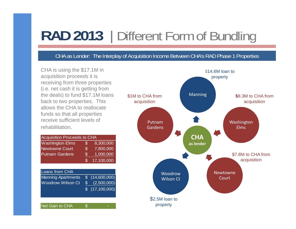## **RAD 2013** | Different Form of Bundling

### CHA as Lender: The Interplay of Acquisition Income Between CHA's RAD Phase 1 Properties

acquisition proceeds it is receiving from three properties (i.e. net cash it is getting from the deals) to fund \$17.1M loans back to two properties. This allows the CHA to reallocate funds so that all properties receive sufficient levels of rehabilitation.

| <b>Acquisition Proceeds to CHA</b> |                |            |
|------------------------------------|----------------|------------|
| <b>Washington Elms</b>             | \$             | 8,300,000  |
| <b>Newtowne Court</b>              | $\mathfrak{L}$ | 7,800,000  |
| <b>Putnam Gardens</b>              | $\mathfrak{F}$ | 1,000,000  |
|                                    | \$.            | 17,100,000 |
|                                    |                |            |

| Loans from CHA            |               |                         |
|---------------------------|---------------|-------------------------|
| <b>Manning Apartments</b> |               | \$(14,600,000)          |
| <b>Woodrow Wilson Ct</b>  | $\mathcal{S}$ | (2,500,000)             |
|                           |               | $\sqrt{5}$ (17,100,000) |
|                           |               |                         |
|                           |               |                         |

\$

Net Gain to CHA

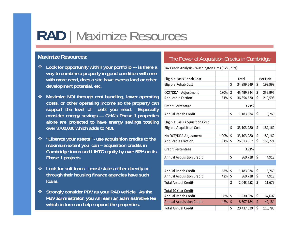# **RAD** | Maximize Resources

- **<sup>◆</sup>** Look for opportunity within your portfolio --- is there a Tax Credit Analysis Washington Elms (175 units) **way to combine a property in good condition with one with more need, does a site have excess land or other development potential, etc.**
- **Maximize NOI through rent bundling, lower operating costs, or other operating income so the property can support the level of debt you need. Especially consider energy savings --- CHA's Phase 1 properties alone are projected to have energy savings totaling over** \$700,000 which adds to NOI. **Eligible Acquisition Cost 199,103,280** \$ 189,162
- **"Liberate your assets" - use acquisition credits to the maximum extent you can – acquisition credits in Cambridge increased LIHTC equity by over 50% on its Phase 1 projects**
- **Look for soft loans – most states either directly or through their housing finance agencies have such loans.**
- **Strongly consider PBV as your RAD vehicle. As the PBV administrator, you will earn an administrative fee which in turn can help support the properties.**

### **Maximize Resources: Maximize Resources: The Power of Acquisition Credits in Cambridge**

| ombine a property in good condition with one<br>Eligible Basis Rehab Cost<br>Total<br>e need, does a site have excess land or other<br>\$<br>\$<br>Eligible Rehab Cost<br>34,999,649<br>nent potential, etc. | Per Unit |
|--------------------------------------------------------------------------------------------------------------------------------------------------------------------------------------------------------------|----------|
|                                                                                                                                                                                                              |          |
|                                                                                                                                                                                                              |          |
|                                                                                                                                                                                                              | 199,998  |
| $\zeta$<br>45,499,544<br>$\zeta$<br>QCT/DDA - Adjustment<br>130%                                                                                                                                             | 259,997  |
| <b>NOI through rent bundling, lower operating</b><br>Applicable Faction<br>\$<br>$81\%$ \$<br>36,854,630                                                                                                     | 210,598  |
| other operating income so the property can<br>Credit Percentage<br>3.21%<br>the level of debt you need.<br><b>Especially</b>                                                                                 |          |
| \$<br>Annual Rehab Credit<br>\$<br>1,183,034<br>energy savings --- CHA's Phase 1 properties                                                                                                                  | 6,760    |
| e projected to have energy savings totaling<br><b>Eligible Basis Acquisition Cost</b>                                                                                                                        |          |
| \$<br>0,000 which adds to NOI.<br>33,103,280<br>$\zeta$<br><b>Eligible Acquisition Cost</b>                                                                                                                  | 189,162  |
| $\zeta$<br>33,103,280<br>No QCT/DDA Adjustment<br>100%<br>$\zeta$                                                                                                                                            | 189,162  |
| your assets" - use acquisition credits to the<br>Applicable Fraction<br>$\zeta$<br>$81\%$ \$<br>26,813,657                                                                                                   | 153,221  |
| n extent you can - acquisition credits in<br><b>Credit Percentage</b><br>3.21%<br>ge increased LIHTC equity by over 50% on its                                                                               |          |
| \$<br><b>Annual Acquisition Credit</b><br>$860,718$ \$<br>projects.                                                                                                                                          | 4,918    |
|                                                                                                                                                                                                              |          |
| soft loans - most states either directly or<br>58% \$<br>Annual Rehab Credit<br>\$<br>1,183,034                                                                                                              | 6,760    |
| their housing finance agencies have such<br><b>Annual Acquisition Credit</b><br>$\zeta$<br>\$<br>42%<br>860,718                                                                                              | 4,918    |
| \$<br><b>Total Annual Credit</b><br>2,043,752<br>\$                                                                                                                                                          | 11,679   |
| Total 10 Year Credit<br>consider PBV as your RAD vehicle. As the                                                                                                                                             |          |
| $\zeta$<br>Annual Rehab Credit<br>58%<br>$11,830,336$ \$<br>iinistrator, you will earn an administrative fee                                                                                                 | 67,602   |
|                                                                                                                                                                                                              | 49,184   |
| <b>Annual Acquisition Credit</b><br>$42\%$ \$<br>8,607,184<br>Ş<br>turn can help support the properties.                                                                                                     |          |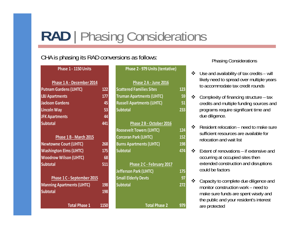### **RAD**  | Phasing Considerations

### CHA is phasing its RAD conversions as follows:<br>
Phasing Considerations

| Phase 1 - 1150 Units | Phase |
|----------------------|-------|
|                      |       |

| Phase 1 A - December 2014         |      |
|-----------------------------------|------|
| <b>Putnam Gardens (LIHTC)</b>     | 122  |
| <b>LBJ Apartments</b>             | 177  |
| <b>Jackson Gardens</b>            | 45   |
| <b>Lincoln Way</b>                | 53   |
| <b>JFK Apartments</b>             | 44   |
| <b>Subtotal</b>                   | 441  |
|                                   |      |
| Phase 1 B - March 2015            |      |
| <b>Newtowne Court (LIHTC)</b>     | 268  |
| <b>Washington Elms (LIHTC)</b>    | 175  |
| <b>Woodrow Wilson (LIHTC)</b>     | 68   |
| <b>Subtotal</b>                   | 511  |
|                                   |      |
| Phase 1 C - September 2015        |      |
| <b>Manning Apartments (LIHTC)</b> | 198  |
| <b>Subtotal</b>                   | 198  |
|                                   |      |
| <b>Total Phase 1</b>              | 1150 |

| Phase 1 - 1150 Units              |     | Phase 2 - 979 Units (tentative)   |     |
|-----------------------------------|-----|-----------------------------------|-----|
| Phase 1 A - December 2014         |     | Phase 2 A - June 2016             |     |
| <b>Putnam Gardens (LIHTC)</b>     | 122 | <b>Scattered Families Sites</b>   | 123 |
| <b>LBJ Apartments</b>             | 177 | <b>Truman Apartments (LIHTC)</b>  | 59  |
| <b>Jackson Gardens</b>            | 45  | <b>Russell Apartments (LIHTC)</b> | 51  |
| Lincoln Way                       | 53  | <b>Subtotal</b>                   | 233 |
| <b>JFK Apartments</b>             | 44  |                                   |     |
| <b>Subtotal</b>                   | 441 | Phase 2 B - October 2016          |     |
|                                   |     | <b>Roosevelt Towers (LIHTC)</b>   | 124 |
| Phase 1 B - March 2015            |     | <b>Corcoran Park (LIHTC)</b>      | 152 |
| <b>Newtowne Court (LIHTC)</b>     | 268 | <b>Burns Apartments (LIHTC)</b>   | 198 |
| <b>Washington Elms (LIHTC)</b>    | 175 | <b>Subtotal</b>                   | 474 |
| <b>Woodrow Wilson (LIHTC)</b>     | 68  |                                   |     |
| <b>Subtotal</b>                   | 511 | Phase 2 C - February 2017         |     |
|                                   |     | <b>Jefferson Park (LIHTC)</b>     | 175 |
| Phase 1 C - September 2015        |     | <b>Small Elderly Devts</b>        | 97  |
| <b>Manning Apartments (LIHTC)</b> | 198 | <b>Subtotal</b>                   | 272 |
|                                   |     |                                   |     |

**1 1150 Total Phase 2 979**

- Use and availability of tax credits will likely need to spread over multiple years to accommodate tax credit rounds
- $\mathbf{r}$  Complexity of financing structure – tax credits and multiple funding sources and programs require significant time and due diligence.
- $\cdot$  $\triangleleft$  Resident relocation – need to make sure sufficient resources are available for relocation and wait list
- $\star$  Extent of renovations – if extensive and occurring at occupied sites then extended construction and disruptions could be factors
- $\frac{1}{2}$  Capacity to complete due diligence and monitor construction work – need to – make sure funds are spent wisely and the public and your resident's interest are protected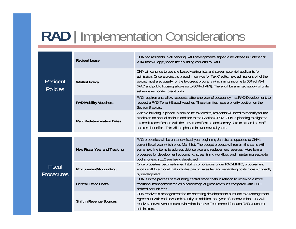# **RAD** | Implementation Considerations

| <b>Revised Lease</b><br><b>Resident</b><br><b>Waitlist Policy</b><br><b>Policies</b> |                                     | CHA had residents in all pending RAD developments signed a new lease in October of<br>2014 that will apply when their building converts to RAD.                                                                                                                                                                                                                                                                   |
|--------------------------------------------------------------------------------------|-------------------------------------|-------------------------------------------------------------------------------------------------------------------------------------------------------------------------------------------------------------------------------------------------------------------------------------------------------------------------------------------------------------------------------------------------------------------|
|                                                                                      |                                     | CHA will continue to use site based waiting lists and screen potential applicants for<br>admission. Once a project is placed in service for Tax Credits, new admissions off of the<br>waitlist must also qualify for the tax credit program, which limits income to 60% of AMI<br>(RAD and public housing allows up to 80% of AMI). There will be a limited supply of units<br>set aside as non-tax credit units. |
|                                                                                      | <b>RAD Mobility Vouchers</b>        | RAD requirements allow residents, after one year of occupancy in a RAD Development, to<br>request a RAD Tenant-Based Voucher. These families have a priority position on the<br>Section 8 waitlist.                                                                                                                                                                                                               |
|                                                                                      | <b>Rent Redetermination Dates</b>   | When a building is placed in service for tax credits, residents will need to recertify for tax<br>credits on an annual basis in addition to the Section 8 PBV. CHA is planning to align the<br>tax credit recertification with the PBV recertification anniversary date to streamline staff<br>and resident effort. This will be phased in over several years.                                                    |
|                                                                                      |                                     |                                                                                                                                                                                                                                                                                                                                                                                                                   |
| <b>Fiscal</b><br><b>Procedures</b>                                                   | <b>New Fiscal Year and Tracking</b> | RAD properties will be on a new fiscal year beginning Jan. 1st as opposed to CHA's<br>current fiscal year which ends Mar 31st. The budget process will remain the same with<br>some new line items to address debt service and replacement reserves. More formal<br>processes for development accounting, streamlining workflow, and maintaining separate<br>books for each LLC are being developed.              |
|                                                                                      | Procurement/Accounting              | Once properties become limited liability corporations under RAD/LIHTC, procurement<br>efforts shift to a model that includes paying sales tax and separating costs more stringently<br>by development.                                                                                                                                                                                                            |
|                                                                                      | <b>Central Office Costs</b>         | CHA is in the process of evaluating central office costs in relation to receiving a more<br>traditional management fee as a percentage of gross revenues compared with HUD<br>defined per unit fees.                                                                                                                                                                                                              |
|                                                                                      | <b>Shift in Revenue Sources</b>     | CHA receives a management fee for operating developments pursuant to a Management<br>Agreement with each ownership entity. In addition, one year after conversion, CHA will<br>receive a new revenue source via Administrative Fees earned for each RAD voucher it<br>administers.                                                                                                                                |
|                                                                                      |                                     |                                                                                                                                                                                                                                                                                                                                                                                                                   |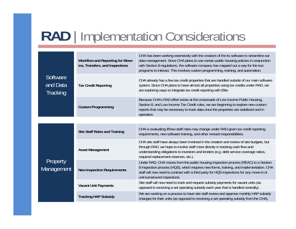## **RAD** | Implementation Considerations

| Software<br>and Data<br>Tracking                                                                                                                                                              | Workflow and Reporting for Move-<br>ins, Transfers, and Inspections                                                                                              | CHA has been working extensively with the creators of the its software to streamline our<br>data management. Since CHA plans to use certain public housing policies in conjunction<br>with Section 8 regulations, the software company has mapped out a way for the two<br>programs to interact. This involves custom programming, training, and automation. |
|-----------------------------------------------------------------------------------------------------------------------------------------------------------------------------------------------|------------------------------------------------------------------------------------------------------------------------------------------------------------------|--------------------------------------------------------------------------------------------------------------------------------------------------------------------------------------------------------------------------------------------------------------------------------------------------------------------------------------------------------------|
|                                                                                                                                                                                               | <b>Tax Credit Reporting</b>                                                                                                                                      | CHA already has a few tax credit properties that are handled outside of our main software<br>system. Since CHA plans to have almost all properties using tax credits under RAD, we<br>are exploring ways to integrate tax credit reporting with Elite.                                                                                                       |
|                                                                                                                                                                                               | <b>Custom Programming</b>                                                                                                                                        | Because CHA's RAD effort exists at the crossroads of Low Income Public Housing,<br>Section 8, and Low Income Tax Credit rules, we are beginning to explore new custom<br>reports that may be necessary to track data once the properties are stabilized and in<br>operation.                                                                                 |
|                                                                                                                                                                                               |                                                                                                                                                                  |                                                                                                                                                                                                                                                                                                                                                              |
| <b>Site Staff Roles and Training</b><br><b>Asset Management</b><br>Property<br>Management<br><b>New Inspection Requirements</b><br><b>Vacant Unit Payments</b><br><b>Tracking HAP Subsidy</b> | CHA is evaluating if/how staff roles may change under RAD given tax credit reporting<br>requirements, new software training, and other revised responsibilities. |                                                                                                                                                                                                                                                                                                                                                              |
|                                                                                                                                                                                               |                                                                                                                                                                  | CHA site staff have always been involved in the creation and review of site budgets, but<br>through RAD, we hope to involve staff more directly in tracking cash flow and<br>understanding obligations to investors and lenders (e.g. debt service coverage ratios,<br>required replacement reserves, etc.).                                                 |
|                                                                                                                                                                                               |                                                                                                                                                                  | Under RAD, CHA moves from the public housing inspection process (REAC) to a Section<br>8 inspection process (HQS), which requires new forms, training, and implementation. CHA<br>staff will now need to contract with a third party for HQS inspections for any move-in or<br>unit-turnaround inspections.                                                  |
|                                                                                                                                                                                               |                                                                                                                                                                  | Site staff will now need to track and request subsidy payments for vacant units (as<br>opposed to receiving a set operating subsidy each year that is handled centrally).                                                                                                                                                                                    |
|                                                                                                                                                                                               |                                                                                                                                                                  | We are working on a process to have site staff review and approve monthly HAP subsidy<br>changes for their units (as opposed to receiving a set operating subsidy from the CHA).                                                                                                                                                                             |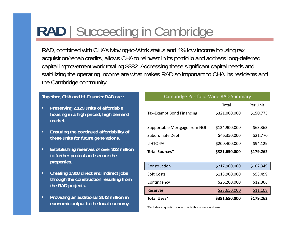# **RAD** | Succeeding in Cambridge

RAD, combined with CHA's Moving-to-Work status and 4% low income housing tax acquisition/rehab credits, allows CHA to reinvest in its portfolio and address long-deferred capital improvement work totaling \$382. Addressing these significant capital needs and stabilizing the operating income are what makes RAD so important to CHA, its residents and the Cambridge community.

- • **Preserving 2,129 units of affordable housing in a high priced, high demand market.**
- • **Ensuring the continued affordability of these units for future generations.**
- • **Establishing reserves of over \$23 million to further protect and secure the p properties.**
- • **Creating 1,308 direct and indirect jobs through the construction resulting from the RAD projects**
- • **Providing an additional \$143 million in economic output to the local economy.**

#### **Together, CHA and HUD under RAD are : Cambridge Portfolio-Wide RAD Summary**

| an additional \$143 million in              | <b>Total Uses*</b>            | \$381,650,000 | \$179,262 |
|---------------------------------------------|-------------------------------|---------------|-----------|
|                                             | <b>Reserves</b>               | \$23,650,000  | \$11,108  |
| he construction resulting from<br>projects. | Contingency                   | \$26,200,000  | \$12,306  |
| 1,308 direct and indirect jobs              | <b>Soft Costs</b>             | \$113,900,000 | \$53,499  |
| S.                                          | Construction                  | \$217,900,000 | \$102,349 |
| protect and secure the                      | Total Sources*                | \$381,650,000 | \$179,262 |
| ing reserves of over \$23 million           | LIHTC 4%                      | \$200,400,000 | \$94,129  |
| ts for future generations.                  | Subordinate Debt              | \$46,350,000  | \$21,770  |
| the continued affordability of              | Supportable Mortgage from NOI | \$134,900,000 | \$63,363  |
| in a high priced, high demand               | Tax-Exempt Bond Financing     | \$321,000,000 | \$150,775 |
| ng 2,129 units of affordable                |                               | Total         | Per Unit  |

\*Excludes acquisition since it is both a source and use.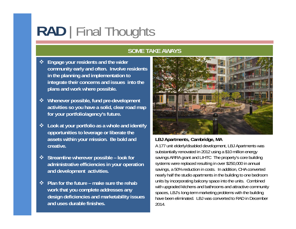# **RAD** | Final Thoughts

### **SOME TAKE AWAYS**

- Ŵ **Engage your residents and the wider community y earl and often. Involve residents in the planning and implementation to integrate their concerns and issues into the plans and work where possible.**
- Ŵ **Whenever possible, fund pre-development activities so you have a solid, clear road map for your portfolio/agency's future.**
- $\frac{1}{2}$  **Look at your portfolio as a whole and identify opportunities to leverage or liberate the assets within your mission. Be bold and creative.**
- **❖** Streamline wherever possible look for **administrative efficiencies in your operation and development activities.**
- $\frac{1}{2}$  **Plan for the future – make sure the rehab design deficiencies and marketability issues and uses durable finishes.**



### **LBJ Apartments, Cambridge, MA**

A 177 unit elderly/disabled development, LBJ Apartments was substantially renovated in 2012 using a \$10 million energy savings ARRA grant and LIHTC The property's core building systems were replaced resulting in over \$250,000 in annual savings, a 50% reduction in costs. In addition, CHA converted nearly half the studio apartments in the building to one bedroom units by incorporating balcony space into the units. Combined with upgraded kitchens and bathrooms and attractive community work that you complete addresses any **with upgraded kitchens** and bathrooms and attractive community work that you complete addresses any spaces, LBJ's long-term marketing problems with the building have been eliminated. LBJ was converted to RAD in December 2014.